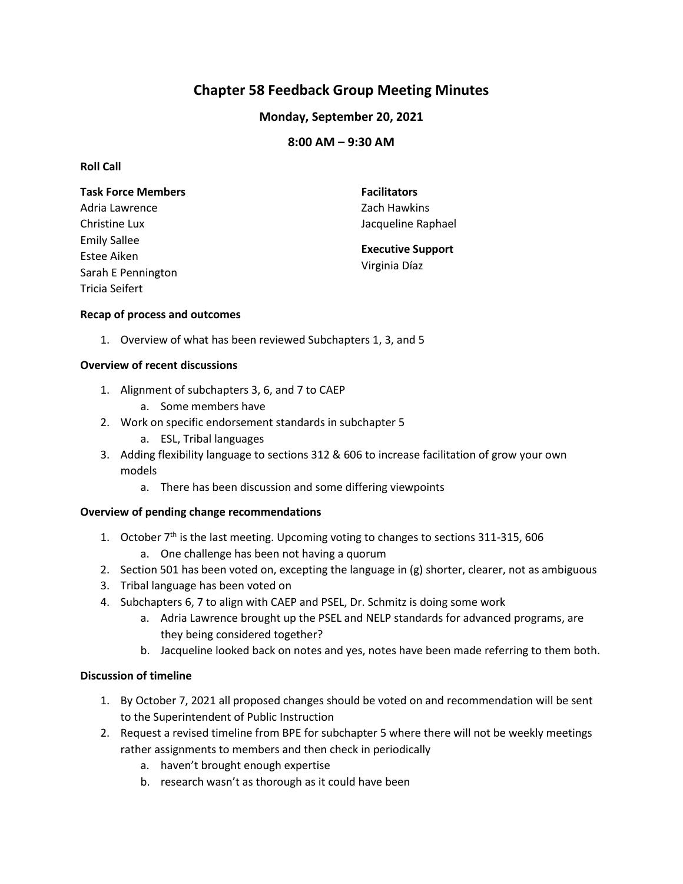# **Chapter 58 Feedback Group Meeting Minutes**

# **Monday, September 20, 2021**

# **8:00 AM – 9:30 AM**

## **Roll Call**

| <b>Task Force Members</b> | <b>Facilitators</b>                       |
|---------------------------|-------------------------------------------|
| Adria Lawrence            | Zach Hawkins                              |
| Christine Lux             | Jacqueline Raphael                        |
| <b>Emily Sallee</b>       | <b>Executive Support</b><br>Virginia Díaz |
| Estee Aiken               |                                           |
| Sarah E Pennington        |                                           |
| Tricia Seifert            |                                           |

#### **Recap of process and outcomes**

1. Overview of what has been reviewed Subchapters 1, 3, and 5

## **Overview of recent discussions**

- 1. Alignment of subchapters 3, 6, and 7 to CAEP
	- a. Some members have
- 2. Work on specific endorsement standards in subchapter 5
	- a. ESL, Tribal languages
- 3. Adding flexibility language to sections 312 & 606 to increase facilitation of grow your own models
	- a. There has been discussion and some differing viewpoints

#### **Overview of pending change recommendations**

- 1. October  $7<sup>th</sup>$  is the last meeting. Upcoming voting to changes to sections 311-315, 606 a. One challenge has been not having a quorum
- 2. Section 501 has been voted on, excepting the language in (g) shorter, clearer, not as ambiguous
- 3. Tribal language has been voted on
- 4. Subchapters 6, 7 to align with CAEP and PSEL, Dr. Schmitz is doing some work
	- a. Adria Lawrence brought up the PSEL and NELP standards for advanced programs, are they being considered together?
	- b. Jacqueline looked back on notes and yes, notes have been made referring to them both.

## **Discussion of timeline**

- 1. By October 7, 2021 all proposed changes should be voted on and recommendation will be sent to the Superintendent of Public Instruction
- 2. Request a revised timeline from BPE for subchapter 5 where there will not be weekly meetings rather assignments to members and then check in periodically
	- a. haven't brought enough expertise
	- b. research wasn't as thorough as it could have been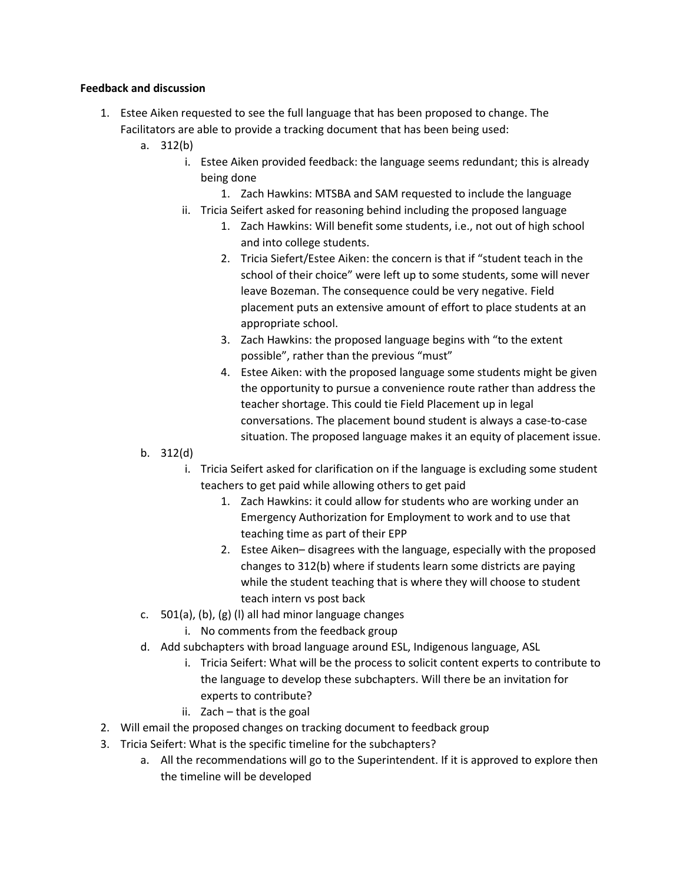#### **Feedback and discussion**

- 1. Estee Aiken requested to see the full language that has been proposed to change. The Facilitators are able to provide a tracking document that has been being used:
	- a. 312(b)
		- i. Estee Aiken provided feedback: the language seems redundant; this is already being done
			- 1. Zach Hawkins: MTSBA and SAM requested to include the language
		- ii. Tricia Seifert asked for reasoning behind including the proposed language
			- 1. Zach Hawkins: Will benefit some students, i.e., not out of high school and into college students.
			- 2. Tricia Siefert/Estee Aiken: the concern is that if "student teach in the school of their choice" were left up to some students, some will never leave Bozeman. The consequence could be very negative. Field placement puts an extensive amount of effort to place students at an appropriate school.
			- 3. Zach Hawkins: the proposed language begins with "to the extent possible", rather than the previous "must"
			- 4. Estee Aiken: with the proposed language some students might be given the opportunity to pursue a convenience route rather than address the teacher shortage. This could tie Field Placement up in legal conversations. The placement bound student is always a case-to-case situation. The proposed language makes it an equity of placement issue.
	- b. 312(d)
		- i. Tricia Seifert asked for clarification on if the language is excluding some student teachers to get paid while allowing others to get paid
			- 1. Zach Hawkins: it could allow for students who are working under an Emergency Authorization for Employment to work and to use that teaching time as part of their EPP
			- 2. Estee Aiken– disagrees with the language, especially with the proposed changes to 312(b) where if students learn some districts are paying while the student teaching that is where they will choose to student teach intern vs post back
	- c. 501(a), (b), (g) (l) all had minor language changes
		- i. No comments from the feedback group
	- d. Add subchapters with broad language around ESL, Indigenous language, ASL
		- i. Tricia Seifert: What will be the process to solicit content experts to contribute to the language to develop these subchapters. Will there be an invitation for experts to contribute?
		- ii. Zach that is the goal
- 2. Will email the proposed changes on tracking document to feedback group
- 3. Tricia Seifert: What is the specific timeline for the subchapters?
	- a. All the recommendations will go to the Superintendent. If it is approved to explore then the timeline will be developed